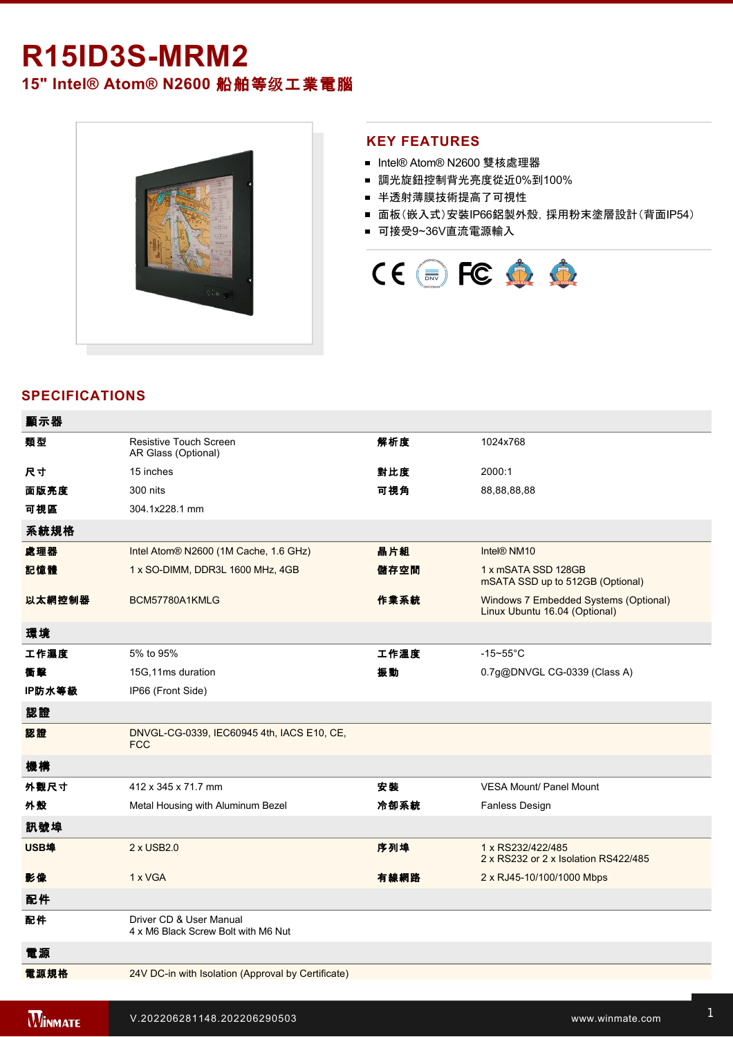# **R15ID3S-MRM2**

**15" Intel® Atom® N2600** 船舶等级工業電腦



### **KEY FEATURES**

- Intel® Atom® N2600 雙核處理器
- 調光旋鈕控制背光亮度從近0%到100%
- 半透射薄膜技術提高了可視性
- 面板(嵌入式)安裝IP66鋁製外殼, 採用粉末塗層設計(背面IP54)
- 可接受9~36V直流電源輸入



# **SPECIFICATIONS**

| 顯示器    |                                                                |      |                                                                        |
|--------|----------------------------------------------------------------|------|------------------------------------------------------------------------|
| 類型     | <b>Resistive Touch Screen</b><br>AR Glass (Optional)           | 解析度  | 1024x768                                                               |
| 尺寸     | 15 inches                                                      | 對比度  | 2000:1                                                                 |
| 面版亮度   | 300 nits                                                       | 可視角  | 88,88,88,88                                                            |
| 可視區    | 304.1x228.1 mm                                                 |      |                                                                        |
| 系統規格   |                                                                |      |                                                                        |
| 處理器    | Intel Atom® N2600 (1M Cache, 1.6 GHz)                          | 晶片組  | Intel® NM10                                                            |
| 記憶體    | 1 x SO-DIMM, DDR3L 1600 MHz, 4GB                               | 儲存空間 | 1 x mSATA SSD 128GB<br>mSATA SSD up to 512GB (Optional)                |
| 以太網控制器 | BCM57780A1KMLG                                                 | 作業系統 | Windows 7 Embedded Systems (Optional)<br>Linux Ubuntu 16.04 (Optional) |
| 環境     |                                                                |      |                                                                        |
| 工作濕度   | 5% to 95%                                                      | 工作溫度 | $-15 - 55$ °C                                                          |
| 衝擊     | 15G,11ms duration                                              | 振動   | 0.7g@DNVGL CG-0339 (Class A)                                           |
| IP防水等級 | IP66 (Front Side)                                              |      |                                                                        |
| 認證     |                                                                |      |                                                                        |
| 認證     | DNVGL-CG-0339, IEC60945 4th, IACS E10, CE,<br><b>FCC</b>       |      |                                                                        |
| 機構     |                                                                |      |                                                                        |
| 外觀尺寸   | 412 x 345 x 71.7 mm                                            | 安装   | <b>VESA Mount/ Panel Mount</b>                                         |
| 外殼     | Metal Housing with Aluminum Bezel                              | 冷卻系統 | Fanless Design                                                         |
| 訊號埠    |                                                                |      |                                                                        |
| USB埠   | 2 x USB2.0                                                     | 序列埠  | 1 x RS232/422/485<br>2 x RS232 or 2 x Isolation RS422/485              |
| 影像     | 1 x VGA                                                        | 有線網路 | 2 x RJ45-10/100/1000 Mbps                                              |
| 配件     |                                                                |      |                                                                        |
| 配件     | Driver CD & User Manual<br>4 x M6 Black Screw Bolt with M6 Nut |      |                                                                        |
| 電源     |                                                                |      |                                                                        |
| 電源規格   | 24V DC-in with Isolation (Approval by Certificate)             |      |                                                                        |

控制

1 x Reset Button and the Company of the Company of the Company of the Company of the Company of the Company of